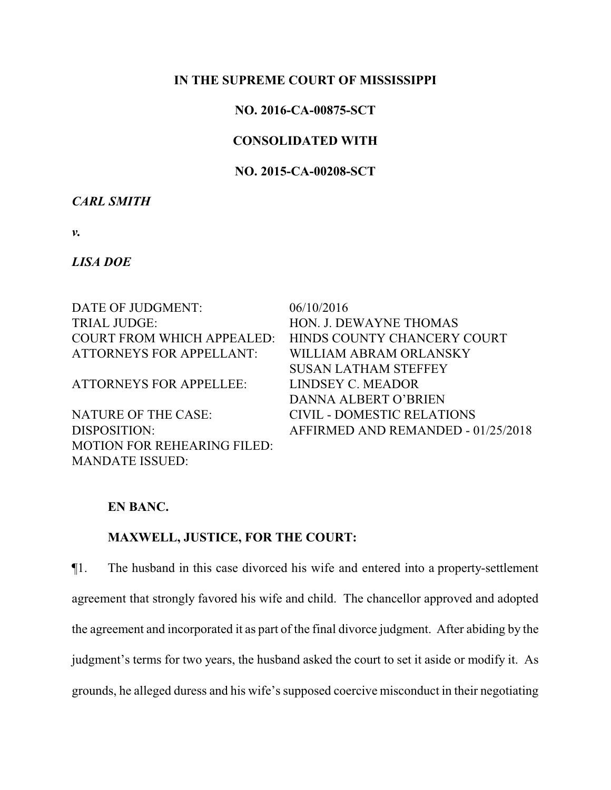## **IN THE SUPREME COURT OF MISSISSIPPI**

## **NO. 2016-CA-00875-SCT**

## **CONSOLIDATED WITH**

## **NO. 2015-CA-00208-SCT**

### *CARL SMITH*

*v.*

## *LISA DOE*

DATE OF JUDGMENT:  $06/10/2016$ TRIAL JUDGE: HON. J. DEWAYNE THOMAS ATTORNEYS FOR APPELLANT: WILLIAM ABRAM ORLANSKY

ATTORNEYS FOR APPELLEE: LINDSEY C. MEADOR

NATURE OF THE CASE: CIVIL - DOMESTIC RELATIONS MOTION FOR REHEARING FILED: MANDATE ISSUED:

COURT FROM WHICH APPEALED: HINDS COUNTY CHANCERY COURT SUSAN LATHAM STEFFEY DANNA ALBERT O'BRIEN DISPOSITION: AFFIRMED AND REMANDED - 01/25/2018

## **EN BANC.**

## **MAXWELL, JUSTICE, FOR THE COURT:**

¶1. The husband in this case divorced his wife and entered into a property-settlement agreement that strongly favored his wife and child. The chancellor approved and adopted the agreement and incorporated it as part of the final divorce judgment. After abiding by the judgment's terms for two years, the husband asked the court to set it aside or modify it. As grounds, he alleged duress and his wife's supposed coercive misconduct in their negotiating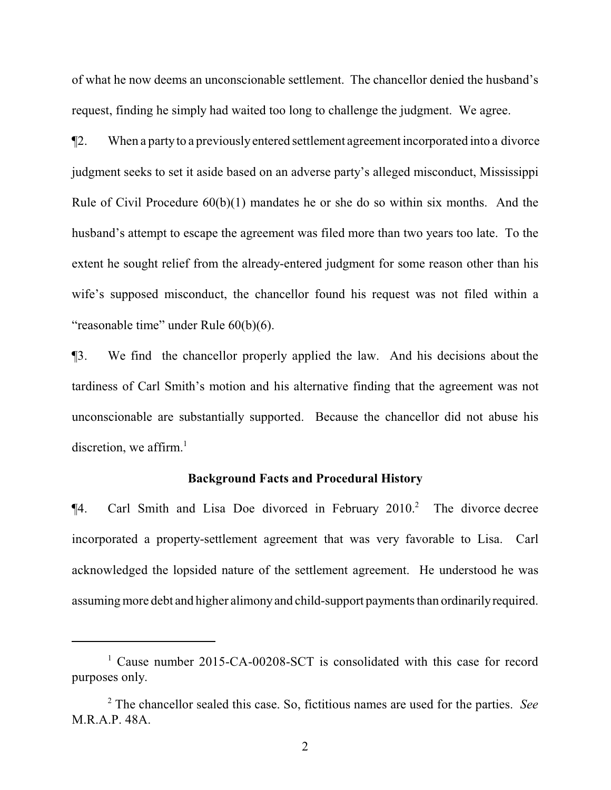of what he now deems an unconscionable settlement. The chancellor denied the husband's request, finding he simply had waited too long to challenge the judgment. We agree.

¶2. When a partyto a previouslyentered settlement agreement incorporated into a divorce judgment seeks to set it aside based on an adverse party's alleged misconduct, Mississippi Rule of Civil Procedure  $60(b)(1)$  mandates he or she do so within six months. And the husband's attempt to escape the agreement was filed more than two years too late. To the extent he sought relief from the already-entered judgment for some reason other than his wife's supposed misconduct, the chancellor found his request was not filed within a "reasonable time" under Rule 60(b)(6).

¶3. We find the chancellor properly applied the law. And his decisions about the tardiness of Carl Smith's motion and his alternative finding that the agreement was not unconscionable are substantially supported. Because the chancellor did not abuse his discretion, we affirm.<sup>1</sup>

#### **Background Facts and Procedural History**

 $\P$ 4. Carl Smith and Lisa Doe divorced in February 2010.<sup>2</sup> The divorce decree incorporated a property-settlement agreement that was very favorable to Lisa. Carl acknowledged the lopsided nature of the settlement agreement. He understood he was assuming more debt and higher alimonyand child-support payments than ordinarilyrequired.

<sup>&</sup>lt;sup>1</sup> Cause number 2015-CA-00208-SCT is consolidated with this case for record purposes only.

<sup>2</sup> The chancellor sealed this case. So, fictitious names are used for the parties. *See* M.R.A.P. 48A.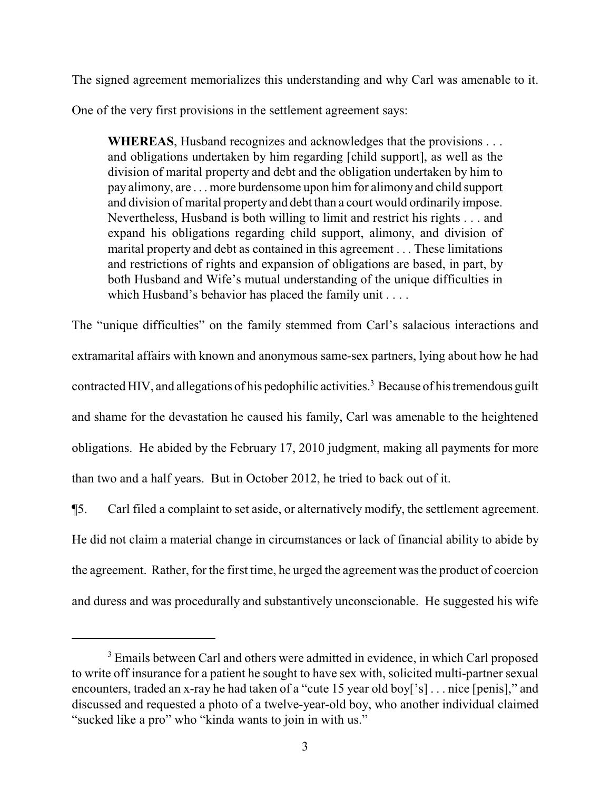The signed agreement memorializes this understanding and why Carl was amenable to it.

One of the very first provisions in the settlement agreement says:

**WHEREAS**, Husband recognizes and acknowledges that the provisions . . . and obligations undertaken by him regarding [child support], as well as the division of marital property and debt and the obligation undertaken by him to pay alimony, are . . . more burdensome upon him for alimony and child support and division of marital property and debt than a court would ordinarily impose. Nevertheless, Husband is both willing to limit and restrict his rights . . . and expand his obligations regarding child support, alimony, and division of marital property and debt as contained in this agreement . . . These limitations and restrictions of rights and expansion of obligations are based, in part, by both Husband and Wife's mutual understanding of the unique difficulties in which Husband's behavior has placed the family unit . . . .

The "unique difficulties" on the family stemmed from Carl's salacious interactions and extramarital affairs with known and anonymous same-sex partners, lying about how he had contracted HIV, and allegations of his pedophilic activities.<sup>3</sup> Because of his tremendous guilt and shame for the devastation he caused his family, Carl was amenable to the heightened obligations. He abided by the February 17, 2010 judgment, making all payments for more than two and a half years. But in October 2012, he tried to back out of it.

¶5. Carl filed a complaint to set aside, or alternatively modify, the settlement agreement. He did not claim a material change in circumstances or lack of financial ability to abide by the agreement. Rather, for the first time, he urged the agreement was the product of coercion and duress and was procedurally and substantively unconscionable. He suggested his wife

<sup>&</sup>lt;sup>3</sup> Emails between Carl and others were admitted in evidence, in which Carl proposed to write off insurance for a patient he sought to have sex with, solicited multi-partner sexual encounters, traded an x-ray he had taken of a "cute 15 year old boy['s] . . . nice [penis]," and discussed and requested a photo of a twelve-year-old boy, who another individual claimed "sucked like a pro" who "kinda wants to join in with us."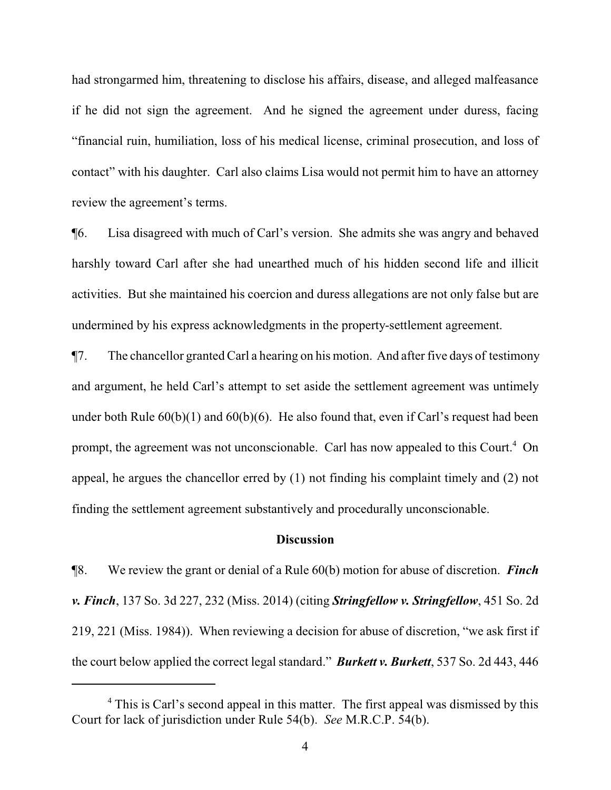had strongarmed him, threatening to disclose his affairs, disease, and alleged malfeasance if he did not sign the agreement. And he signed the agreement under duress, facing "financial ruin, humiliation, loss of his medical license, criminal prosecution, and loss of contact" with his daughter. Carl also claims Lisa would not permit him to have an attorney review the agreement's terms.

¶6. Lisa disagreed with much of Carl's version. She admits she was angry and behaved harshly toward Carl after she had unearthed much of his hidden second life and illicit activities. But she maintained his coercion and duress allegations are not only false but are undermined by his express acknowledgments in the property-settlement agreement.

¶7. The chancellor granted Carl a hearing on his motion. And after five days of testimony and argument, he held Carl's attempt to set aside the settlement agreement was untimely under both Rule 60(b)(1) and 60(b)(6). He also found that, even if Carl's request had been prompt, the agreement was not unconscionable. Carl has now appealed to this Court.<sup>4</sup> On appeal, he argues the chancellor erred by (1) not finding his complaint timely and (2) not finding the settlement agreement substantively and procedurally unconscionable.

#### **Discussion**

¶8. We review the grant or denial of a Rule 60(b) motion for abuse of discretion. *Finch v. Finch*, 137 So. 3d 227, 232 (Miss. 2014) (citing *Stringfellow v. Stringfellow*, 451 So. 2d 219, 221 (Miss. 1984)). When reviewing a decision for abuse of discretion, "we ask first if the court below applied the correct legal standard." *Burkett v. Burkett*, 537 So. 2d 443, 446

<sup>&</sup>lt;sup>4</sup> This is Carl's second appeal in this matter. The first appeal was dismissed by this Court for lack of jurisdiction under Rule 54(b). *See* M.R.C.P. 54(b).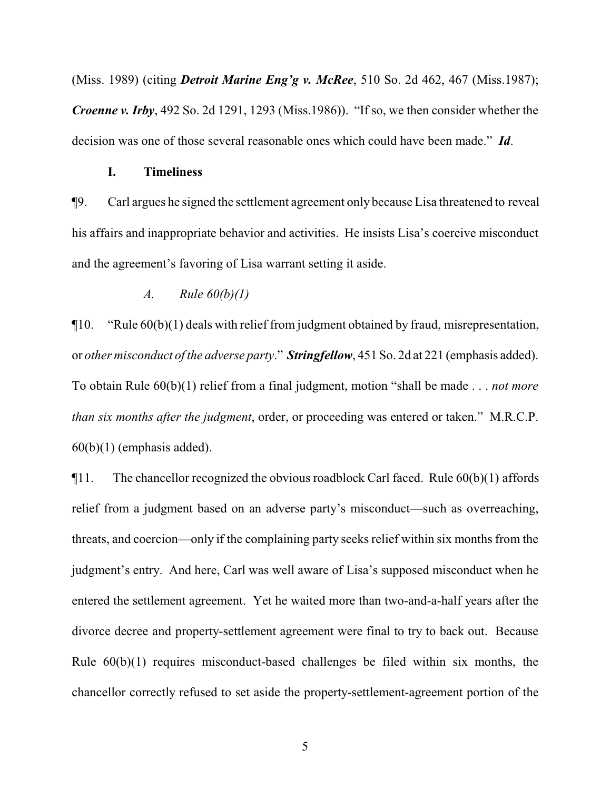(Miss. 1989) (citing *Detroit Marine Eng'g v. McRee*, 510 So. 2d 462, 467 (Miss.1987); *Croenne v. Irby*, 492 So. 2d 1291, 1293 (Miss.1986)). "If so, we then consider whether the decision was one of those several reasonable ones which could have been made." *Id*.

## **I. Timeliness**

¶9. Carl argues he signed the settlement agreement only because Lisa threatened to reveal his affairs and inappropriate behavior and activities. He insists Lisa's coercive misconduct and the agreement's favoring of Lisa warrant setting it aside.

## *A. Rule 60(b)(1)*

¶10. "Rule 60(b)(1) deals with relief from judgment obtained by fraud, misrepresentation, or *other misconduct of the adverse party*." *Stringfellow*, 451 So. 2d at 221 (emphasis added). To obtain Rule 60(b)(1) relief from a final judgment, motion "shall be made . . . *not more than six months after the judgment*, order, or proceeding was entered or taken." M.R.C.P.  $60(b)(1)$  (emphasis added).

 $\P$ 11. The chancellor recognized the obvious roadblock Carl faced. Rule  $60(b)(1)$  affords relief from a judgment based on an adverse party's misconduct—such as overreaching, threats, and coercion—only if the complaining party seeks relief within six months from the judgment's entry. And here, Carl was well aware of Lisa's supposed misconduct when he entered the settlement agreement. Yet he waited more than two-and-a-half years after the divorce decree and property-settlement agreement were final to try to back out. Because Rule  $60(b)(1)$  requires misconduct-based challenges be filed within six months, the chancellor correctly refused to set aside the property-settlement-agreement portion of the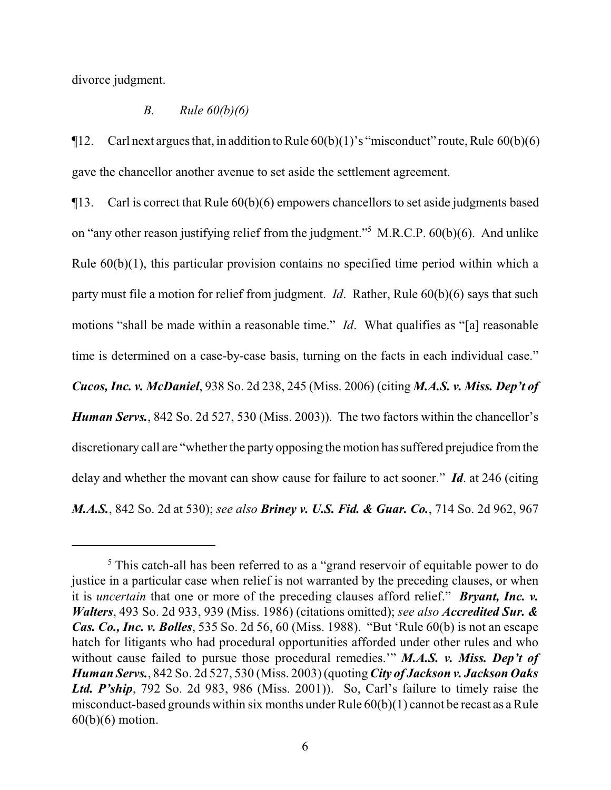divorce judgment.

### *B. Rule 60(b)(6)*

 $\P$ 12. Carl next argues that, in addition to Rule  $60(b)(1)$ 's "misconduct" route, Rule  $60(b)(6)$ gave the chancellor another avenue to set aside the settlement agreement.

¶13. Carl is correct that Rule 60(b)(6) empowers chancellors to set aside judgments based on "any other reason justifying relief from the judgment."<sup>5</sup> M.R.C.P. 60(b)(6). And unlike Rule 60(b)(1), this particular provision contains no specified time period within which a party must file a motion for relief from judgment. *Id*. Rather, Rule 60(b)(6) says that such motions "shall be made within a reasonable time." *Id*. What qualifies as "[a] reasonable time is determined on a case-by-case basis, turning on the facts in each individual case." *Cucos, Inc. v. McDaniel*, 938 So. 2d 238, 245 (Miss. 2006) (citing *M.A.S. v. Miss. Dep't of Human Servs.*, 842 So. 2d 527, 530 (Miss. 2003)). The two factors within the chancellor's discretionary call are "whether the party opposing the motion has suffered prejudice fromthe delay and whether the movant can show cause for failure to act sooner." *Id*. at 246 (citing *M.A.S.*, 842 So. 2d at 530); *see also Briney v. U.S. Fid. & Guar. Co.*, 714 So. 2d 962, 967

<sup>&</sup>lt;sup>5</sup> This catch-all has been referred to as a "grand reservoir of equitable power to do justice in a particular case when relief is not warranted by the preceding clauses, or when it is *uncertain* that one or more of the preceding clauses afford relief." *Bryant, Inc. v. Walters*, 493 So. 2d 933, 939 (Miss. 1986) (citations omitted); *see also Accredited Sur. & Cas. Co., Inc. v. Bolles*, 535 So. 2d 56, 60 (Miss. 1988). "But 'Rule 60(b) is not an escape hatch for litigants who had procedural opportunities afforded under other rules and who without cause failed to pursue those procedural remedies.'" *M.A.S. v. Miss. Dep't of Human Servs.*, 842 So. 2d 527, 530 (Miss. 2003)(quoting*City of Jackson v. Jackson Oaks Ltd. P'ship*, 792 So. 2d 983, 986 (Miss. 2001)). So, Carl's failure to timely raise the misconduct-based grounds within six months under Rule 60(b)(1) cannot be recast as a Rule 60(b)(6) motion.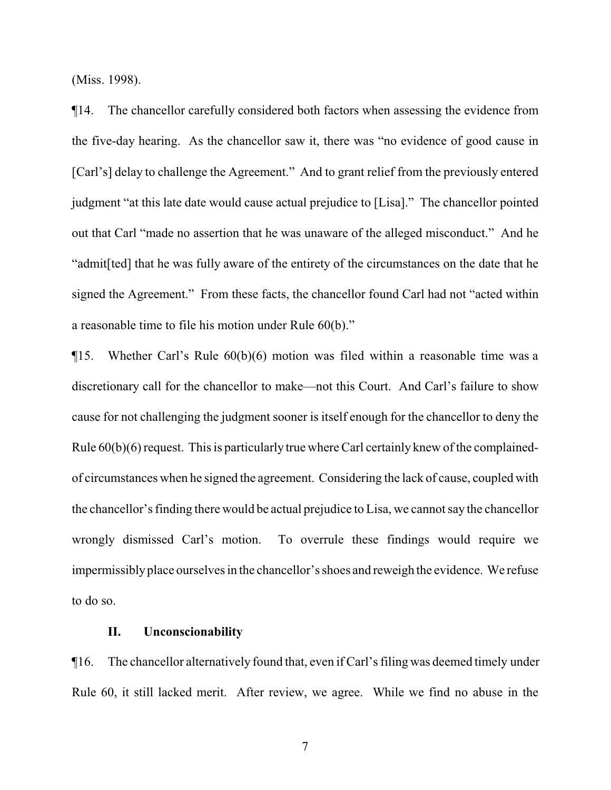(Miss. 1998).

¶14. The chancellor carefully considered both factors when assessing the evidence from the five-day hearing. As the chancellor saw it, there was "no evidence of good cause in [Carl's] delay to challenge the Agreement." And to grant relief from the previously entered judgment "at this late date would cause actual prejudice to [Lisa]." The chancellor pointed out that Carl "made no assertion that he was unaware of the alleged misconduct." And he "admit[ted] that he was fully aware of the entirety of the circumstances on the date that he signed the Agreement." From these facts, the chancellor found Carl had not "acted within a reasonable time to file his motion under Rule 60(b)."

¶15. Whether Carl's Rule 60(b)(6) motion was filed within a reasonable time was a discretionary call for the chancellor to make—not this Court. And Carl's failure to show cause for not challenging the judgment sooner is itself enough for the chancellor to deny the Rule 60(b)(6) request. This is particularly true where Carl certainly knew of the complainedof circumstances when he signed the agreement. Considering the lack of cause, coupled with the chancellor's finding there would be actual prejudice to Lisa, we cannot say the chancellor wrongly dismissed Carl's motion. To overrule these findings would require we impermissiblyplace ourselves in the chancellor's shoes and reweigh the evidence. We refuse to do so.

### **II. Unconscionability**

¶16. The chancellor alternatively found that, even if Carl's filing was deemed timely under Rule 60, it still lacked merit. After review, we agree. While we find no abuse in the

7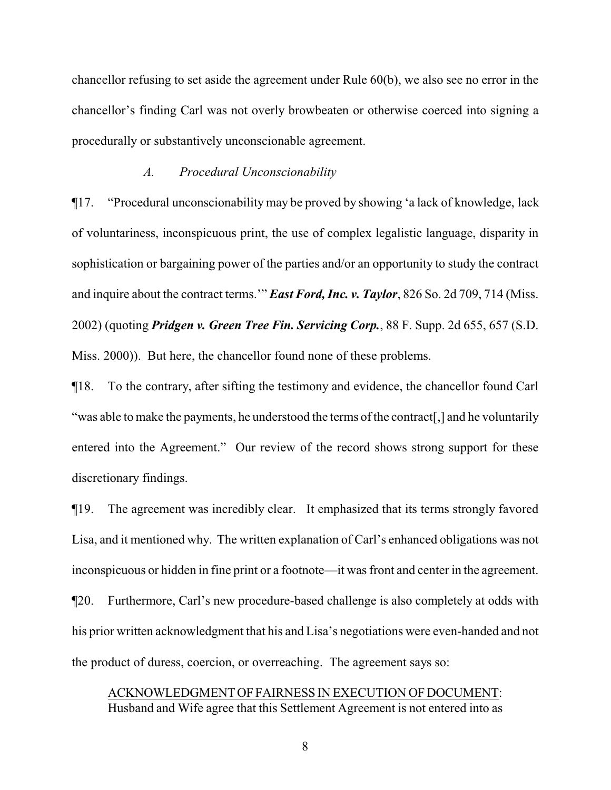chancellor refusing to set aside the agreement under Rule 60(b), we also see no error in the chancellor's finding Carl was not overly browbeaten or otherwise coerced into signing a procedurally or substantively unconscionable agreement.

## *A. Procedural Unconscionability*

¶17. "Procedural unconscionability may be proved by showing 'a lack of knowledge, lack of voluntariness, inconspicuous print, the use of complex legalistic language, disparity in sophistication or bargaining power of the parties and/or an opportunity to study the contract and inquire about the contract terms.'" *East Ford, Inc. v. Taylor*, 826 So. 2d 709, 714 (Miss. 2002) (quoting *Pridgen v. Green Tree Fin. Servicing Corp.*, 88 F. Supp. 2d 655, 657 (S.D. Miss. 2000)). But here, the chancellor found none of these problems.

¶18. To the contrary, after sifting the testimony and evidence, the chancellor found Carl "was able to make the payments, he understood the terms of the contract." and he voluntarily entered into the Agreement." Our review of the record shows strong support for these discretionary findings.

¶19. The agreement was incredibly clear. It emphasized that its terms strongly favored Lisa, and it mentioned why. The written explanation of Carl's enhanced obligations was not inconspicuous or hidden in fine print or a footnote—it was front and center in the agreement. ¶20. Furthermore, Carl's new procedure-based challenge is also completely at odds with his prior written acknowledgment that his and Lisa's negotiations were even-handed and not the product of duress, coercion, or overreaching. The agreement says so:

ACKNOWLEDGMENT OF FAIRNESS IN EXECUTION OF DOCUMENT: Husband and Wife agree that this Settlement Agreement is not entered into as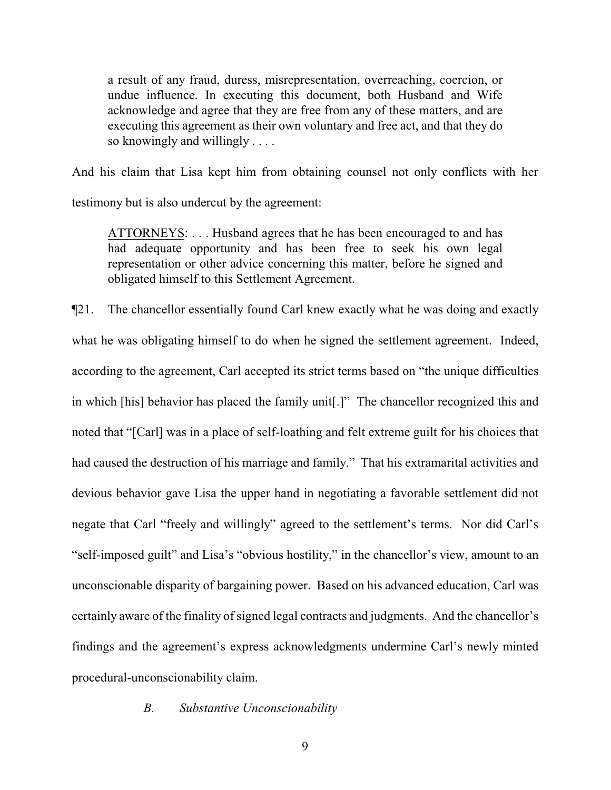a result of any fraud, duress, misrepresentation, overreaching, coercion, or undue influence. In executing this document, both Husband and Wife acknowledge and agree that they are free from any of these matters, and are executing this agreement as their own voluntary and free act, and that they do so knowingly and willingly . . . .

And his claim that Lisa kept him from obtaining counsel not only conflicts with her

testimony but is also undercut by the agreement:

ATTORNEYS: . . . Husband agrees that he has been encouraged to and has had adequate opportunity and has been free to seek his own legal representation or other advice concerning this matter, before he signed and obligated himself to this Settlement Agreement.

¶21. The chancellor essentially found Carl knew exactly what he was doing and exactly what he was obligating himself to do when he signed the settlement agreement. Indeed, according to the agreement, Carl accepted its strict terms based on "the unique difficulties in which [his] behavior has placed the family unit[.]" The chancellor recognized this and noted that "[Carl] was in a place of self-loathing and felt extreme guilt for his choices that had caused the destruction of his marriage and family." That his extramarital activities and devious behavior gave Lisa the upper hand in negotiating a favorable settlement did not negate that Carl "freely and willingly" agreed to the settlement's terms. Nor did Carl's "self-imposed guilt" and Lisa's "obvious hostility," in the chancellor's view, amount to an unconscionable disparity of bargaining power. Based on his advanced education, Carl was certainly aware of the finality of signed legal contracts and judgments. And the chancellor's findings and the agreement's express acknowledgments undermine Carl's newly minted procedural-unconscionability claim.

## *B. Substantive Unconscionability*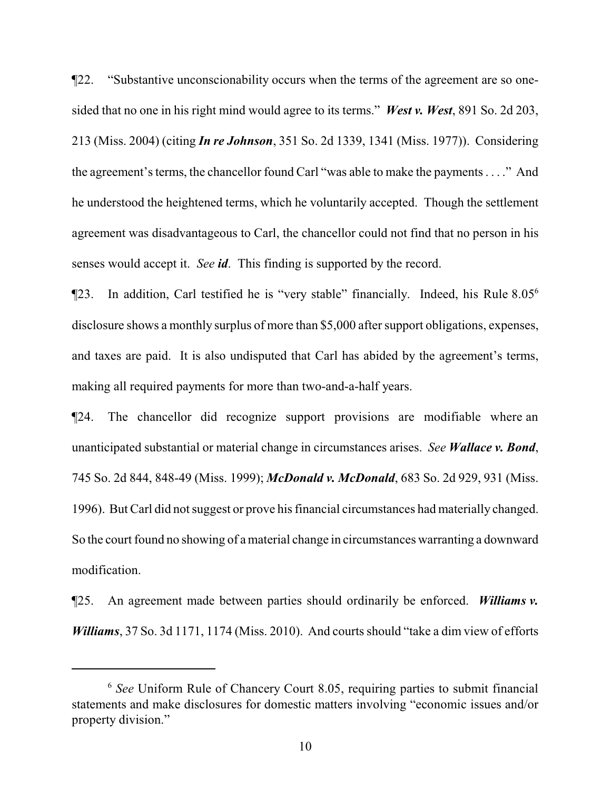¶22. "Substantive unconscionability occurs when the terms of the agreement are so onesided that no one in his right mind would agree to its terms." *West v. West*, 891 So. 2d 203, 213 (Miss. 2004) (citing *In re Johnson*, 351 So. 2d 1339, 1341 (Miss. 1977)). Considering the agreement's terms, the chancellor found Carl "was able to make the payments . . . ." And he understood the heightened terms, which he voluntarily accepted. Though the settlement agreement was disadvantageous to Carl, the chancellor could not find that no person in his senses would accept it. *See id*. This finding is supported by the record.

¶23. In addition, Carl testified he is "very stable" financially. Indeed, his Rule 8.05<sup>6</sup> disclosure shows a monthly surplus of more than \$5,000 after support obligations, expenses, and taxes are paid. It is also undisputed that Carl has abided by the agreement's terms, making all required payments for more than two-and-a-half years.

¶24. The chancellor did recognize support provisions are modifiable where an unanticipated substantial or material change in circumstances arises. *See Wallace v. Bond*, 745 So. 2d 844, 848-49 (Miss. 1999); *McDonald v. McDonald*, 683 So. 2d 929, 931 (Miss. 1996). But Carl did not suggest or prove his financial circumstances had materially changed. So the court found no showing of amaterial change in circumstances warranting a downward modification.

¶25. An agreement made between parties should ordinarily be enforced. *Williams v. Williams*, 37 So. 3d 1171, 1174 (Miss. 2010). And courts should "take a dim view of efforts

<sup>6</sup> *See* Uniform Rule of Chancery Court 8.05, requiring parties to submit financial statements and make disclosures for domestic matters involving "economic issues and/or property division."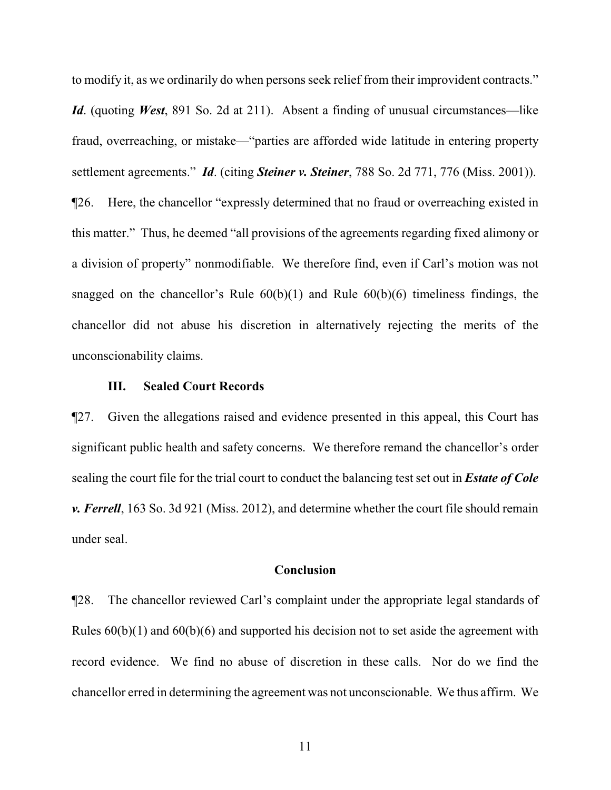to modify it, as we ordinarily do when persons seek relief from their improvident contracts." *Id*. (quoting *West*, 891 So. 2d at 211). Absent a finding of unusual circumstances—like fraud, overreaching, or mistake—"parties are afforded wide latitude in entering property settlement agreements." *Id*. (citing *Steiner v. Steiner*, 788 So. 2d 771, 776 (Miss. 2001)). ¶26. Here, the chancellor "expressly determined that no fraud or overreaching existed in this matter." Thus, he deemed "all provisions of the agreements regarding fixed alimony or a division of property" nonmodifiable. We therefore find, even if Carl's motion was not snagged on the chancellor's Rule  $60(b)(1)$  and Rule  $60(b)(6)$  timeliness findings, the chancellor did not abuse his discretion in alternatively rejecting the merits of the unconscionability claims.

## **III. Sealed Court Records**

¶27. Given the allegations raised and evidence presented in this appeal, this Court has significant public health and safety concerns. We therefore remand the chancellor's order sealing the court file for the trial court to conduct the balancing test set out in *Estate of Cole v. Ferrell*, 163 So. 3d 921 (Miss. 2012), and determine whether the court file should remain under seal.

### **Conclusion**

¶28. The chancellor reviewed Carl's complaint under the appropriate legal standards of Rules  $60(b)(1)$  and  $60(b)(6)$  and supported his decision not to set aside the agreement with record evidence. We find no abuse of discretion in these calls. Nor do we find the chancellor erred in determining the agreement was not unconscionable. We thus affirm. We

11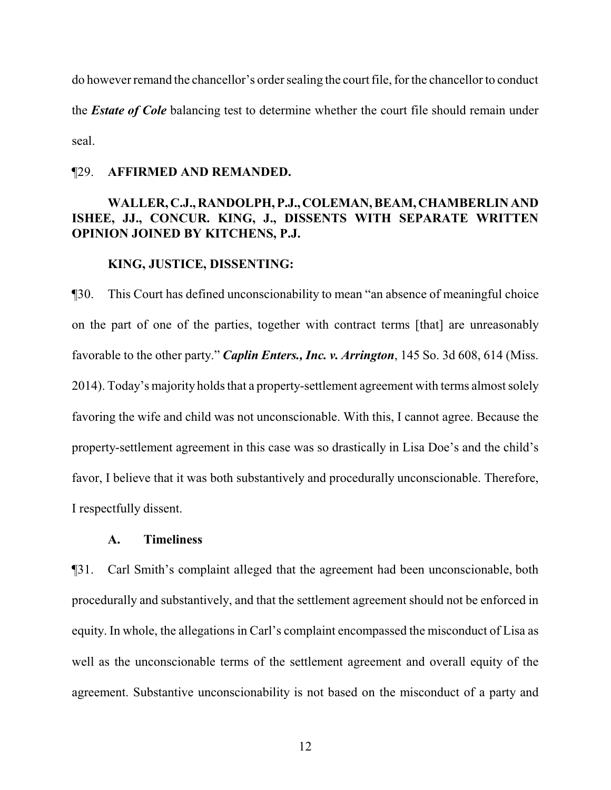do however remand the chancellor's order sealing the court file, for the chancellor to conduct the *Estate of Cole* balancing test to determine whether the court file should remain under seal.

## ¶29. **AFFIRMED AND REMANDED.**

## **WALLER, C.J., RANDOLPH, P.J.,COLEMAN, BEAM, CHAMBERLIN AND ISHEE, JJ., CONCUR. KING, J., DISSENTS WITH SEPARATE WRITTEN OPINION JOINED BY KITCHENS, P.J.**

## **KING, JUSTICE, DISSENTING:**

¶30. This Court has defined unconscionability to mean "an absence of meaningful choice on the part of one of the parties, together with contract terms [that] are unreasonably favorable to the other party." *Caplin Enters., Inc. v. Arrington*, 145 So. 3d 608, 614 (Miss. 2014). Today's majority holds that a property-settlement agreement with terms almost solely favoring the wife and child was not unconscionable. With this, I cannot agree. Because the property-settlement agreement in this case was so drastically in Lisa Doe's and the child's favor, I believe that it was both substantively and procedurally unconscionable. Therefore, I respectfully dissent.

## **A. Timeliness**

¶31. Carl Smith's complaint alleged that the agreement had been unconscionable, both procedurally and substantively, and that the settlement agreement should not be enforced in equity. In whole, the allegations in Carl's complaint encompassed the misconduct of Lisa as well as the unconscionable terms of the settlement agreement and overall equity of the agreement. Substantive unconscionability is not based on the misconduct of a party and

12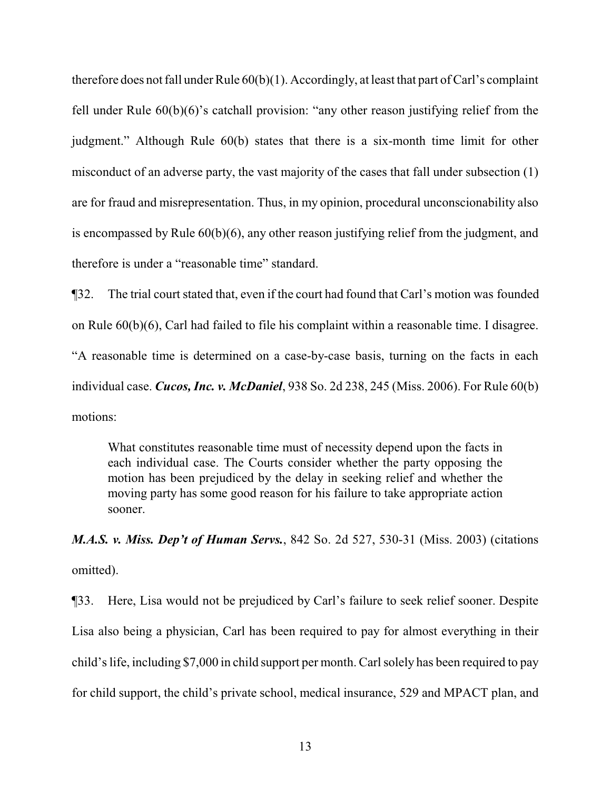therefore does not fall under Rule 60(b)(1). Accordingly, at least that part of Carl's complaint fell under Rule 60(b)(6)'s catchall provision: "any other reason justifying relief from the judgment." Although Rule 60(b) states that there is a six-month time limit for other misconduct of an adverse party, the vast majority of the cases that fall under subsection (1) are for fraud and misrepresentation. Thus, in my opinion, procedural unconscionability also is encompassed by Rule 60(b)(6), any other reason justifying relief from the judgment, and therefore is under a "reasonable time" standard.

¶32. The trial court stated that, even if the court had found that Carl's motion was founded on Rule 60(b)(6), Carl had failed to file his complaint within a reasonable time. I disagree. "A reasonable time is determined on a case-by-case basis, turning on the facts in each individual case. *Cucos, Inc. v. McDaniel*, 938 So. 2d 238, 245 (Miss. 2006). For Rule 60(b) motions:

What constitutes reasonable time must of necessity depend upon the facts in each individual case. The Courts consider whether the party opposing the motion has been prejudiced by the delay in seeking relief and whether the moving party has some good reason for his failure to take appropriate action sooner.

*M.A.S. v. Miss. Dep't of Human Servs.*, 842 So. 2d 527, 530-31 (Miss. 2003) (citations omitted).

¶33. Here, Lisa would not be prejudiced by Carl's failure to seek relief sooner. Despite Lisa also being a physician, Carl has been required to pay for almost everything in their child's life, including \$7,000 in child support per month. Carl solely has been required to pay for child support, the child's private school, medical insurance, 529 and MPACT plan, and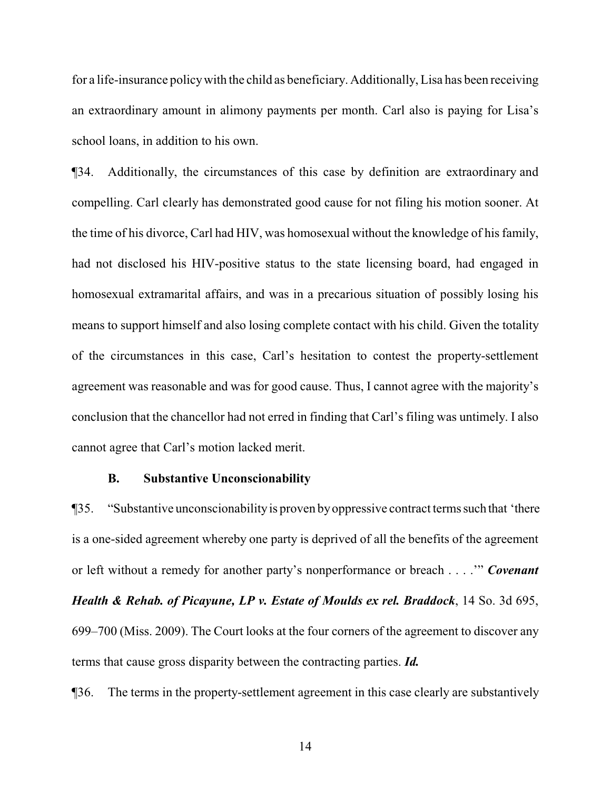for a life-insurance policywith the child as beneficiary. Additionally, Lisa has been receiving an extraordinary amount in alimony payments per month. Carl also is paying for Lisa's school loans, in addition to his own.

¶34. Additionally, the circumstances of this case by definition are extraordinary and compelling. Carl clearly has demonstrated good cause for not filing his motion sooner. At the time of his divorce, Carl had HIV, was homosexual without the knowledge of his family, had not disclosed his HIV-positive status to the state licensing board, had engaged in homosexual extramarital affairs, and was in a precarious situation of possibly losing his means to support himself and also losing complete contact with his child. Given the totality of the circumstances in this case, Carl's hesitation to contest the property-settlement agreement was reasonable and was for good cause. Thus, I cannot agree with the majority's conclusion that the chancellor had not erred in finding that Carl's filing was untimely. I also cannot agree that Carl's motion lacked merit.

#### **B. Substantive Unconscionability**

¶35. "Substantive unconscionabilityis proven byoppressive contract termssuch that 'there is a one-sided agreement whereby one party is deprived of all the benefits of the agreement or left without a remedy for another party's nonperformance or breach . . . .'" *Covenant Health & Rehab. of Picayune, LP v. Estate of Moulds ex rel. Braddock*, 14 So. 3d 695, 699–700 (Miss. 2009). The Court looks at the four corners of the agreement to discover any terms that cause gross disparity between the contracting parties. *Id.*

¶36. The terms in the property-settlement agreement in this case clearly are substantively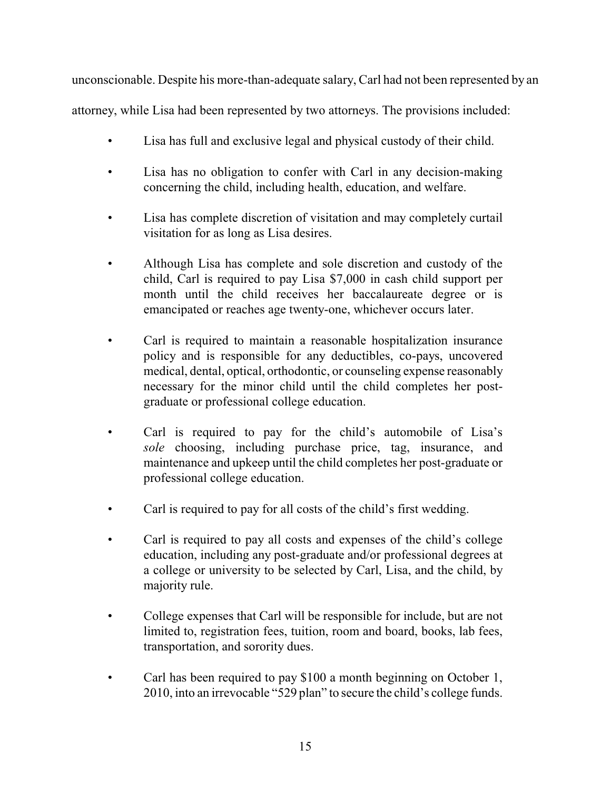unconscionable. Despite his more-than-adequate salary, Carl had not been represented by an attorney, while Lisa had been represented by two attorneys. The provisions included:

- Lisa has full and exclusive legal and physical custody of their child.
- Lisa has no obligation to confer with Carl in any decision-making concerning the child, including health, education, and welfare.
- Lisa has complete discretion of visitation and may completely curtail visitation for as long as Lisa desires.
- Although Lisa has complete and sole discretion and custody of the child, Carl is required to pay Lisa \$7,000 in cash child support per month until the child receives her baccalaureate degree or is emancipated or reaches age twenty-one, whichever occurs later.
- Carl is required to maintain a reasonable hospitalization insurance policy and is responsible for any deductibles, co-pays, uncovered medical, dental, optical, orthodontic, or counseling expense reasonably necessary for the minor child until the child completes her postgraduate or professional college education.
- Carl is required to pay for the child's automobile of Lisa's *sole* choosing, including purchase price, tag, insurance, and maintenance and upkeep until the child completes her post-graduate or professional college education.
- Carl is required to pay for all costs of the child's first wedding.
- Carl is required to pay all costs and expenses of the child's college education, including any post-graduate and/or professional degrees at a college or university to be selected by Carl, Lisa, and the child, by majority rule.
- College expenses that Carl will be responsible for include, but are not limited to, registration fees, tuition, room and board, books, lab fees, transportation, and sorority dues.
- Carl has been required to pay \$100 a month beginning on October 1, 2010, into an irrevocable "529 plan" to secure the child's college funds.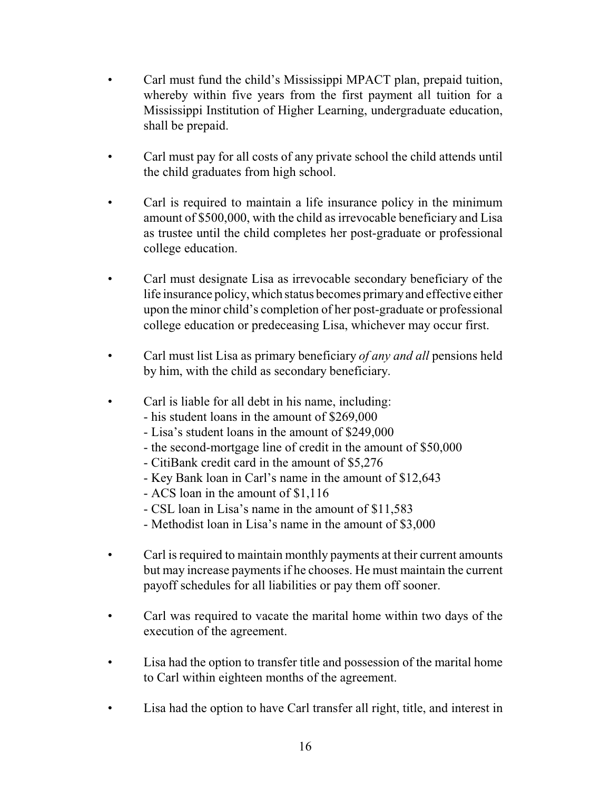- Carl must fund the child's Mississippi MPACT plan, prepaid tuition, whereby within five years from the first payment all tuition for a Mississippi Institution of Higher Learning, undergraduate education, shall be prepaid.
- Carl must pay for all costs of any private school the child attends until the child graduates from high school.
- Carl is required to maintain a life insurance policy in the minimum amount of \$500,000, with the child as irrevocable beneficiary and Lisa as trustee until the child completes her post-graduate or professional college education.
- Carl must designate Lisa as irrevocable secondary beneficiary of the life insurance policy, which status becomes primaryand effective either upon the minor child's completion of her post-graduate or professional college education or predeceasing Lisa, whichever may occur first.
- Carl must list Lisa as primary beneficiary *of any and all* pensions held by him, with the child as secondary beneficiary.
- Carl is liable for all debt in his name, including:
	- his student loans in the amount of \$269,000
	- Lisa's student loans in the amount of \$249,000
	- the second-mortgage line of credit in the amount of \$50,000
	- CitiBank credit card in the amount of \$5,276
	- Key Bank loan in Carl's name in the amount of \$12,643
	- ACS loan in the amount of \$1,116
	- CSL loan in Lisa's name in the amount of \$11,583
	- Methodist loan in Lisa's name in the amount of \$3,000
- Carl is required to maintain monthly payments at their current amounts but may increase payments if he chooses. He must maintain the current payoff schedules for all liabilities or pay them off sooner.
- Carl was required to vacate the marital home within two days of the execution of the agreement.
- Lisa had the option to transfer title and possession of the marital home to Carl within eighteen months of the agreement.
- Lisa had the option to have Carl transfer all right, title, and interest in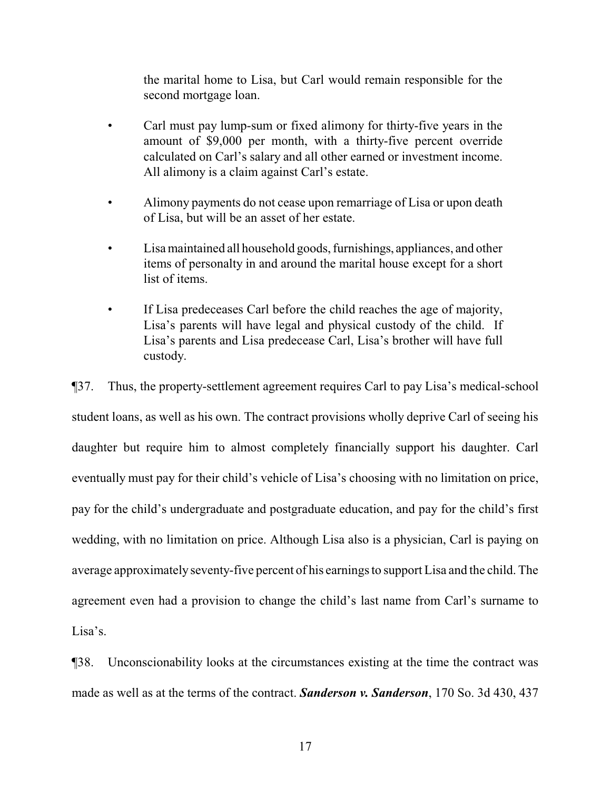the marital home to Lisa, but Carl would remain responsible for the second mortgage loan.

- Carl must pay lump-sum or fixed alimony for thirty-five years in the amount of \$9,000 per month, with a thirty-five percent override calculated on Carl's salary and all other earned or investment income. All alimony is a claim against Carl's estate.
- Alimony payments do not cease upon remarriage of Lisa or upon death of Lisa, but will be an asset of her estate.
- Lisa maintained all household goods, furnishings, appliances, and other items of personalty in and around the marital house except for a short list of items.
- If Lisa predeceases Carl before the child reaches the age of majority, Lisa's parents will have legal and physical custody of the child. If Lisa's parents and Lisa predecease Carl, Lisa's brother will have full custody.

¶37. Thus, the property-settlement agreement requires Carl to pay Lisa's medical-school student loans, as well as his own. The contract provisions wholly deprive Carl of seeing his daughter but require him to almost completely financially support his daughter. Carl eventually must pay for their child's vehicle of Lisa's choosing with no limitation on price, pay for the child's undergraduate and postgraduate education, and pay for the child's first wedding, with no limitation on price. Although Lisa also is a physician, Carl is paying on average approximately seventy-five percent of his earnings to support Lisa and the child. The agreement even had a provision to change the child's last name from Carl's surname to Lisa's.

¶38. Unconscionability looks at the circumstances existing at the time the contract was made as well as at the terms of the contract. *Sanderson v. Sanderson*, 170 So. 3d 430, 437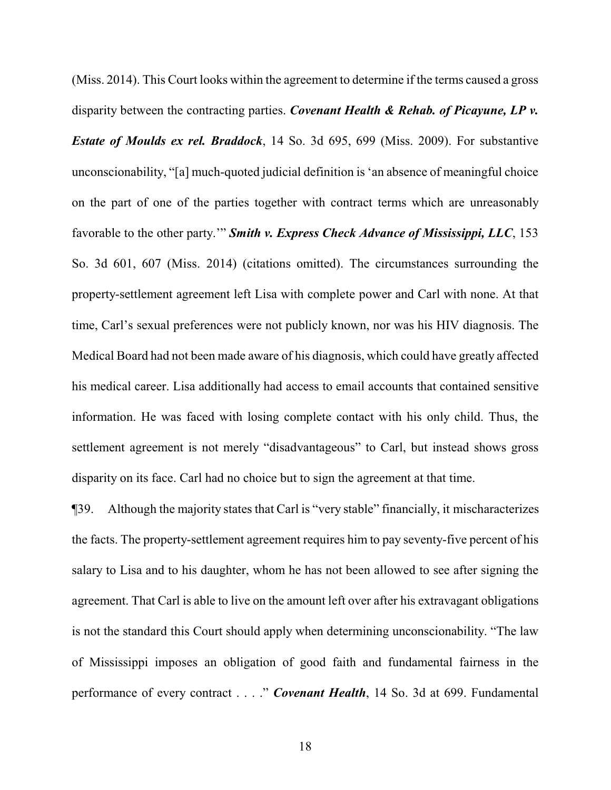(Miss. 2014). This Court looks within the agreement to determine if the terms caused a gross disparity between the contracting parties. *Covenant Health & Rehab. of Picayune, LP v. Estate of Moulds ex rel. Braddock*, 14 So. 3d 695, 699 (Miss. 2009). For substantive unconscionability, "[a] much-quoted judicial definition is 'an absence of meaningful choice on the part of one of the parties together with contract terms which are unreasonably favorable to the other party.'" *Smith v. Express Check Advance of Mississippi, LLC*, 153 So. 3d 601, 607 (Miss. 2014) (citations omitted). The circumstances surrounding the property-settlement agreement left Lisa with complete power and Carl with none. At that time, Carl's sexual preferences were not publicly known, nor was his HIV diagnosis. The Medical Board had not been made aware of his diagnosis, which could have greatly affected his medical career. Lisa additionally had access to email accounts that contained sensitive information. He was faced with losing complete contact with his only child. Thus, the settlement agreement is not merely "disadvantageous" to Carl, but instead shows gross disparity on its face. Carl had no choice but to sign the agreement at that time.

¶39. Although the majority states that Carl is "very stable" financially, it mischaracterizes the facts. The property-settlement agreement requires him to pay seventy-five percent of his salary to Lisa and to his daughter, whom he has not been allowed to see after signing the agreement. That Carl is able to live on the amount left over after his extravagant obligations is not the standard this Court should apply when determining unconscionability. "The law of Mississippi imposes an obligation of good faith and fundamental fairness in the performance of every contract . . . ." *Covenant Health*, 14 So. 3d at 699. Fundamental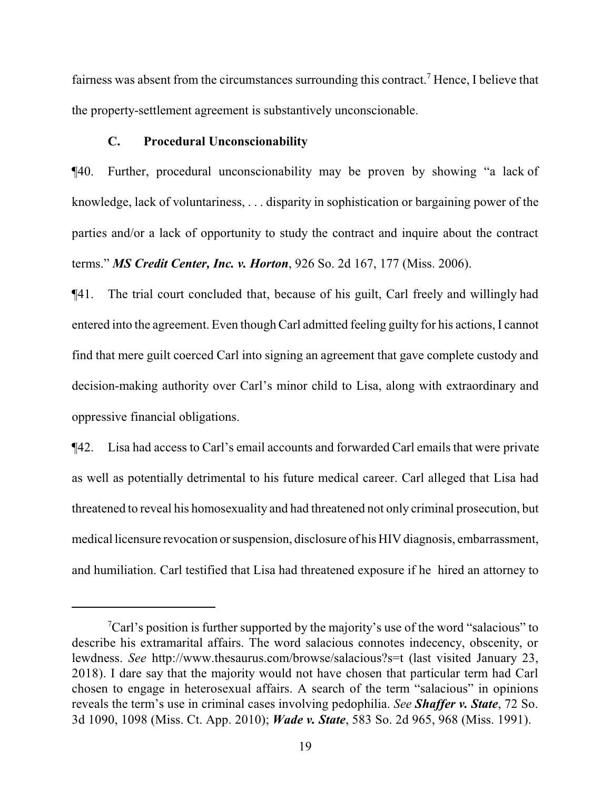fairness was absent from the circumstances surrounding this contract.<sup>7</sup> Hence, I believe that the property-settlement agreement is substantively unconscionable.

### **C. Procedural Unconscionability**

¶40. Further, procedural unconscionability may be proven by showing "a lack of knowledge, lack of voluntariness, . . . disparity in sophistication or bargaining power of the parties and/or a lack of opportunity to study the contract and inquire about the contract terms." *MS Credit Center, Inc. v. Horton*, 926 So. 2d 167, 177 (Miss. 2006).

¶41. The trial court concluded that, because of his guilt, Carl freely and willingly had entered into the agreement. Even though Carl admitted feeling guilty for his actions, I cannot find that mere guilt coerced Carl into signing an agreement that gave complete custody and decision-making authority over Carl's minor child to Lisa, along with extraordinary and oppressive financial obligations.

¶42. Lisa had access to Carl's email accounts and forwarded Carl emails that were private as well as potentially detrimental to his future medical career. Carl alleged that Lisa had threatened to reveal his homosexuality and had threatened not only criminal prosecution, but medical licensure revocation or suspension, disclosure of his HIV diagnosis, embarrassment, and humiliation. Carl testified that Lisa had threatened exposure if he hired an attorney to

 ${}^{7}$ Carl's position is further supported by the majority's use of the word "salacious" to describe his extramarital affairs. The word salacious connotes indecency, obscenity, or lewdness. *See* http://www.thesaurus.com/browse/salacious?s=t (last visited January 23, 2018). I dare say that the majority would not have chosen that particular term had Carl chosen to engage in heterosexual affairs. A search of the term "salacious" in opinions reveals the term's use in criminal cases involving pedophilia. *See Shaffer v. State*, 72 So. 3d 1090, 1098 (Miss. Ct. App. 2010); *Wade v. State*, 583 So. 2d 965, 968 (Miss. 1991).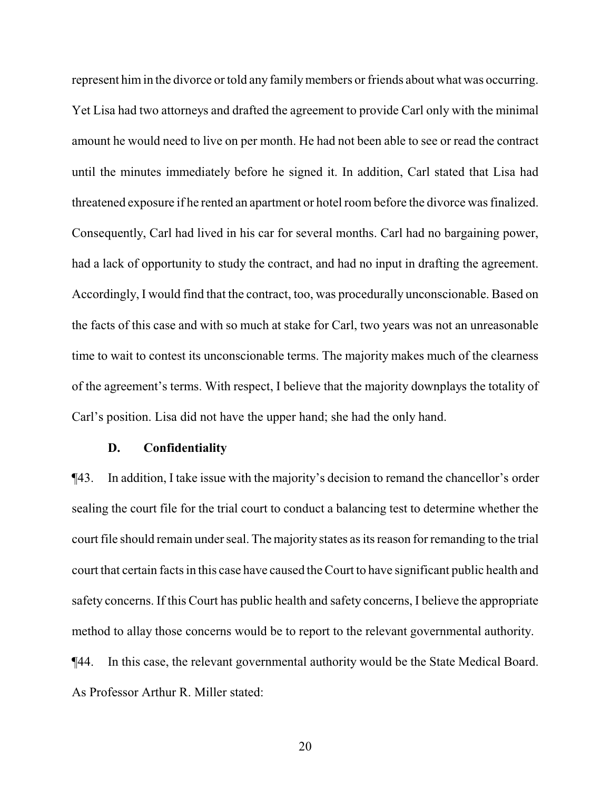represent him in the divorce or told any family members or friends about what was occurring. Yet Lisa had two attorneys and drafted the agreement to provide Carl only with the minimal amount he would need to live on per month. He had not been able to see or read the contract until the minutes immediately before he signed it. In addition, Carl stated that Lisa had threatened exposure if he rented an apartment or hotel room before the divorce was finalized. Consequently, Carl had lived in his car for several months. Carl had no bargaining power, had a lack of opportunity to study the contract, and had no input in drafting the agreement. Accordingly, I would find that the contract, too, was procedurally unconscionable. Based on the facts of this case and with so much at stake for Carl, two years was not an unreasonable time to wait to contest its unconscionable terms. The majority makes much of the clearness of the agreement's terms. With respect, I believe that the majority downplays the totality of Carl's position. Lisa did not have the upper hand; she had the only hand.

#### **D. Confidentiality**

¶43. In addition, I take issue with the majority's decision to remand the chancellor's order sealing the court file for the trial court to conduct a balancing test to determine whether the court file should remain under seal. The majority states as its reason for remanding to the trial court that certain facts in this case have caused the Court to have significant public health and safety concerns. If this Court has public health and safety concerns, I believe the appropriate method to allay those concerns would be to report to the relevant governmental authority. ¶44. In this case, the relevant governmental authority would be the State Medical Board. As Professor Arthur R. Miller stated:

20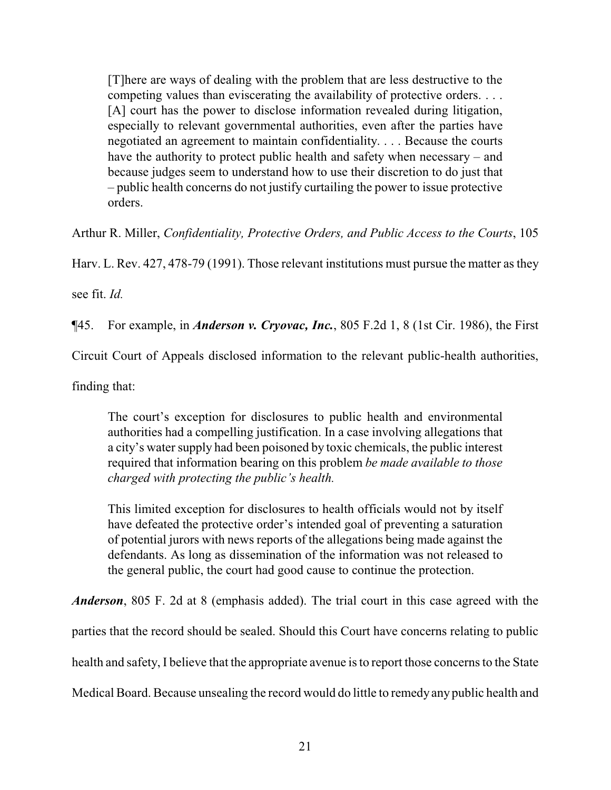[T]here are ways of dealing with the problem that are less destructive to the competing values than eviscerating the availability of protective orders. . . . [A] court has the power to disclose information revealed during litigation, especially to relevant governmental authorities, even after the parties have negotiated an agreement to maintain confidentiality. . . . Because the courts have the authority to protect public health and safety when necessary – and because judges seem to understand how to use their discretion to do just that – public health concerns do not justify curtailing the power to issue protective orders.

Arthur R. Miller, *Confidentiality, Protective Orders, and Public Access to the Courts*, 105

Harv. L. Rev. 427, 478-79 (1991). Those relevant institutions must pursue the matter as they

see fit. *Id.*

¶45. For example, in *Anderson v. Cryovac, Inc.*, 805 F.2d 1, 8 (1st Cir. 1986), the First

Circuit Court of Appeals disclosed information to the relevant public-health authorities,

finding that:

The court's exception for disclosures to public health and environmental authorities had a compelling justification. In a case involving allegations that a city's water supply had been poisoned by toxic chemicals, the public interest required that information bearing on this problem *be made available to those charged with protecting the public's health.*

This limited exception for disclosures to health officials would not by itself have defeated the protective order's intended goal of preventing a saturation of potential jurors with news reports of the allegations being made against the defendants. As long as dissemination of the information was not released to the general public, the court had good cause to continue the protection.

*Anderson*, 805 F. 2d at 8 (emphasis added). The trial court in this case agreed with the parties that the record should be sealed. Should this Court have concerns relating to public health and safety, I believe that the appropriate avenue is to report those concerns to the State Medical Board. Because unsealing the record would do little to remedy any public health and